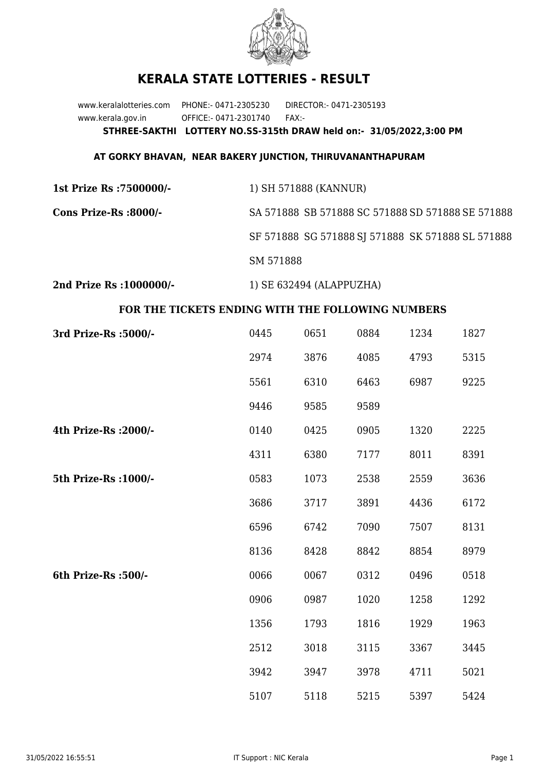

## **KERALA STATE LOTTERIES - RESULT**

www.keralalotteries.com PHONE:- 0471-2305230 DIRECTOR:- 0471-2305193 www.kerala.gov.in OFFICE:- 0471-2301740 FAX:- **STHREE-SAKTHI LOTTERY NO.SS-315th DRAW held on:- 31/05/2022,3:00 PM**

## **AT GORKY BHAVAN, NEAR BAKERY JUNCTION, THIRUVANANTHAPURAM**

**1st Prize Rs :7500000/-** 1) SH 571888 (KANNUR) **Cons Prize-Rs :8000/-** SA 571888 SB 571888 SC 571888 SD 571888 SE 571888 SF 571888 SG 571888 SJ 571888 SK 571888 SL 571888 SM 571888

**2nd Prize Rs :1000000/-** 1) SE 632494 (ALAPPUZHA)

## **FOR THE TICKETS ENDING WITH THE FOLLOWING NUMBERS**

| 3rd Prize-Rs : 5000/- | 0445 | 0651 | 0884 | 1234 | 1827 |
|-----------------------|------|------|------|------|------|
|                       | 2974 | 3876 | 4085 | 4793 | 5315 |
|                       | 5561 | 6310 | 6463 | 6987 | 9225 |
|                       | 9446 | 9585 | 9589 |      |      |
| 4th Prize-Rs : 2000/- | 0140 | 0425 | 0905 | 1320 | 2225 |
|                       | 4311 | 6380 | 7177 | 8011 | 8391 |
| 5th Prize-Rs : 1000/- | 0583 | 1073 | 2538 | 2559 | 3636 |
|                       | 3686 | 3717 | 3891 | 4436 | 6172 |
|                       | 6596 | 6742 | 7090 | 7507 | 8131 |
|                       | 8136 | 8428 | 8842 | 8854 | 8979 |
| 6th Prize-Rs :500/-   | 0066 | 0067 | 0312 | 0496 | 0518 |
|                       | 0906 | 0987 | 1020 | 1258 | 1292 |
|                       | 1356 | 1793 | 1816 | 1929 | 1963 |
|                       | 2512 | 3018 | 3115 | 3367 | 3445 |
|                       | 3942 | 3947 | 3978 | 4711 | 5021 |
|                       | 5107 | 5118 | 5215 | 5397 | 5424 |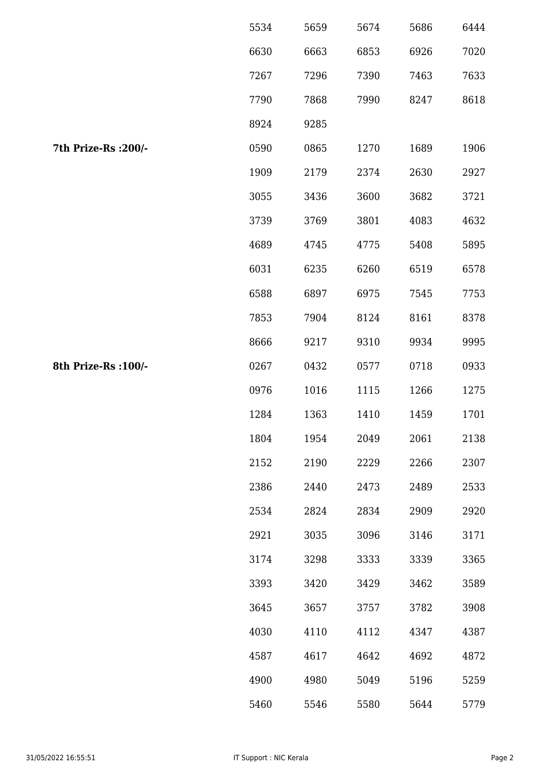|                      | 5534 | 5659 | 5674 | 5686 | 6444 |
|----------------------|------|------|------|------|------|
|                      | 6630 | 6663 | 6853 | 6926 | 7020 |
|                      | 7267 | 7296 | 7390 | 7463 | 7633 |
|                      | 7790 | 7868 | 7990 | 8247 | 8618 |
|                      | 8924 | 9285 |      |      |      |
| 7th Prize-Rs : 200/- | 0590 | 0865 | 1270 | 1689 | 1906 |
|                      | 1909 | 2179 | 2374 | 2630 | 2927 |
|                      | 3055 | 3436 | 3600 | 3682 | 3721 |
|                      | 3739 | 3769 | 3801 | 4083 | 4632 |
|                      | 4689 | 4745 | 4775 | 5408 | 5895 |
|                      | 6031 | 6235 | 6260 | 6519 | 6578 |
|                      | 6588 | 6897 | 6975 | 7545 | 7753 |
|                      | 7853 | 7904 | 8124 | 8161 | 8378 |
|                      | 8666 | 9217 | 9310 | 9934 | 9995 |
| 8th Prize-Rs : 100/- | 0267 | 0432 | 0577 | 0718 | 0933 |
|                      | 0976 | 1016 | 1115 | 1266 | 1275 |
|                      | 1284 | 1363 | 1410 | 1459 | 1701 |
|                      | 1804 | 1954 | 2049 | 2061 | 2138 |
|                      | 2152 | 2190 | 2229 | 2266 | 2307 |
|                      | 2386 | 2440 | 2473 | 2489 | 2533 |
|                      | 2534 | 2824 | 2834 | 2909 | 2920 |
|                      | 2921 | 3035 | 3096 | 3146 | 3171 |
|                      | 3174 | 3298 | 3333 | 3339 | 3365 |
|                      | 3393 | 3420 | 3429 | 3462 | 3589 |
|                      | 3645 | 3657 | 3757 | 3782 | 3908 |
|                      | 4030 | 4110 | 4112 | 4347 | 4387 |
|                      | 4587 | 4617 | 4642 | 4692 | 4872 |
|                      | 4900 | 4980 | 5049 | 5196 | 5259 |
|                      | 5460 | 5546 | 5580 | 5644 | 5779 |